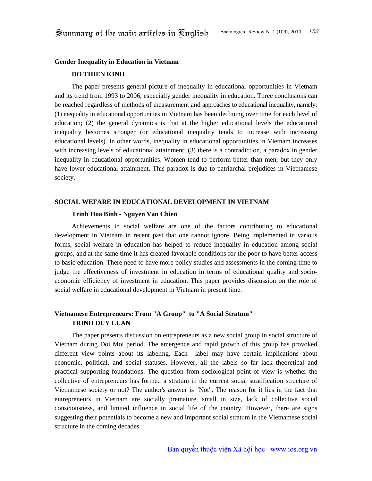#### **Gender Inequality in Education in Vietnam**

### **DO THIEN KINH**

The paper presents general picture of inequality in educational opportunities in Vietnam and its trend from 1993 to 2006, especially gender inequality in education. Three conclusions can be reached regardless of methods of measurement and approaches to educational inequality, namely: (1) inequality in educational opportunities in Vietnam has been declining over time for each level of education; (2) the general dynamics is that at the higher educational levels the educational inequality becomes stronger (or educational inequality tends to increase with increasing educational levels). In other words, inequality in educational opportunities in Vietnam increases with increasing levels of educational attainment; (3) there is a contradiction, a paradox in gender inequality in educational opportunities. Women tend to perform better than men, but they only have lower educational attainment. This paradox is due to patriarchal prejudices in Vietnamese society.

#### **SOCIAL WEFARE IN EDUCATIONAL DEVELOPMENT IN VIETNAM**

### **Trinh Hoa Binh - Nguyen Van Chien**

Achievements in social welfare are one of the factors contributing to educational development in Vietnam in recent past that one cannot ignore. Being implemented in various forms, social welfare in education has helped to reduce inequality in education among social groups, and at the same time it has created favorable conditions for the poor to have better access to basic education. There need to have more policy studies and assessments in the coming time to judge the effectiveness of investment in education in terms of educational quality and socioeconomic efficiency of investment in education. This paper provides discussion on the role of social welfare in educational development in Vietnam in present time.

# **Vietnamese Entrepreneurs: From "A Group" to "A Social Stratum" TRINH DUY LUAN**

The paper presents discussion on entrepreneurs as a new social group in social structure of Vietnam during Doi Moi period. The emergence and rapid growth of this group has provoked different view points about its labeling. Each label may have certain implications about economic, political, and social statuses. However, all the labels so far lack theoretical and practical supporting foundations. The question from sociological point of view is whether the collective of entrepreneurs has formed a stratum in the current social stratification structure of Vietnamese society or not? The author's answer is "Not". The reason for it lies in the fact that entrepreneurs in Vietnam are socially premature, small in size, lack of collective social consciousness, and limited influence in social life of the country. However, there are signs suggesting their potentials to become a new and important social stratum in the Vietnamese social structure in the coming decades.